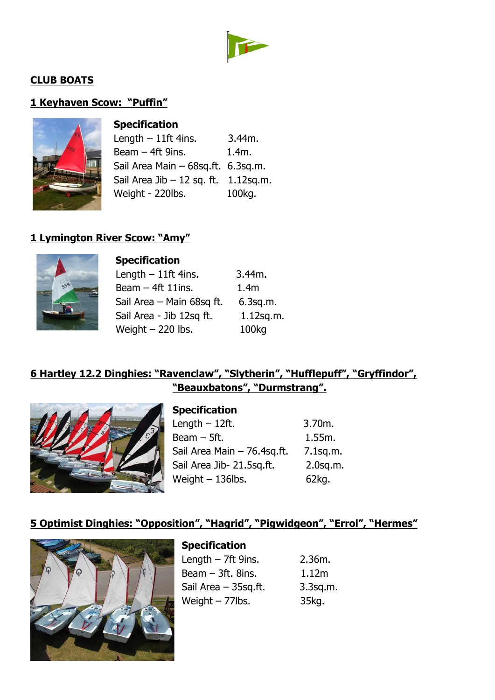

### **CLUB BOATS**

# **1 Keyhaven Scow: "Puffin"**



| <b>Specification</b>                  |          |
|---------------------------------------|----------|
| Length $-11$ ft 4ins.                 | 3.44m.   |
| Beam $-$ 4ft 9ins.                    | $1.4m$ . |
| Sail Area Main - 68sq.ft. 6.3sq.m.    |          |
| Sail Area Jib $-12$ sq. ft. 1.12sq.m. |          |
| Weight - 220lbs.                      | 100kg.   |

#### **1 Lymington River Scow: "Amy"**



| <b>Specification</b>      |                   |
|---------------------------|-------------------|
| Length $-11$ ft 4ins.     | 3.44m.            |
| Beam $-$ 4ft 11ins.       | 1.4 <sub>m</sub>  |
| Sail Area - Main 68sq ft. | $6.3$ sq.m.       |
| Sail Area - Jib 12sq ft.  | $1.12$ sq.m.      |
| Weight $-220$ lbs.        | 100 <sub>kg</sub> |

### **6 Hartley 12.2 Dinghies: "Ravenclaw", "Slytherin", "Hufflepuff", "Gryffindor", "Beauxbatons", "Durmstrang".**



#### **Specification**

| Length $-12$ ft.            | 3.70m.      |
|-----------------------------|-------------|
| Beam $-$ 5ft.               | 1.55m.      |
| Sail Area Main - 76.4sq.ft. | $7.1$ sq.m. |
| Sail Area Jib- 21.5sq.ft.   | $2.0$ sq.m. |
| Weight $-$ 136lbs.          | 62kg.       |

# **5 Optimist Dinghies: "Opposition", "Hagrid", "Pigwidgeon", "Errol", "Hermes"**



### **Specification** Length  $-7$ ft 9ins. 2.36m. Beam  $-3$ ft. 8ins. 1.12m Sail Area - 35sq.ft. 3.3sq.m. Weight – 77lbs. 35kg.